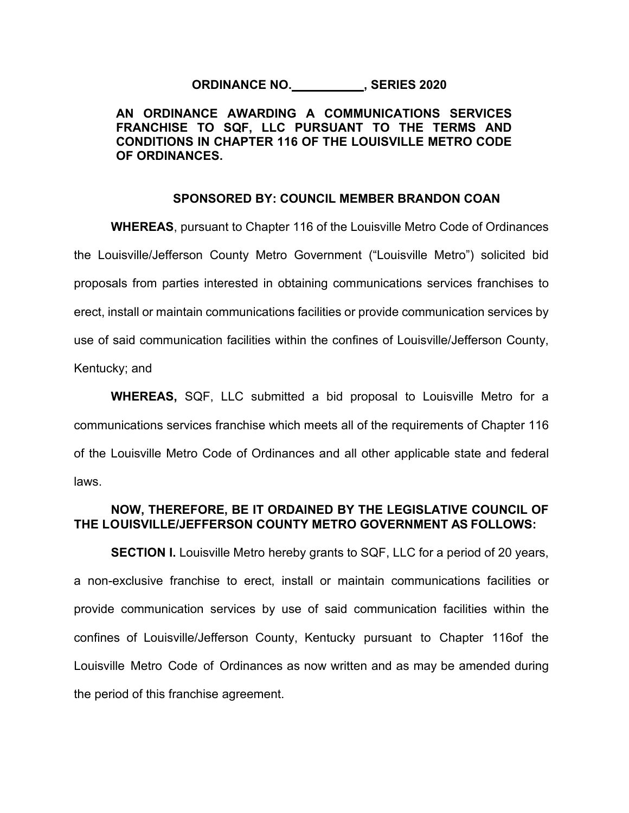## **ORDINANCE NO. , SERIES 2020**

# **AN ORDINANCE AWARDING A COMMUNICATIONS SERVICES FRANCHISE TO SQF, LLC PURSUANT TO THE TERMS AND CONDITIONS IN CHAPTER 116 OF THE LOUISVILLE METRO CODE OF ORDINANCES.**

### **SPONSORED BY: COUNCIL MEMBER BRANDON COAN**

**WHEREAS**, pursuant to Chapter 116 of the Louisville Metro Code of Ordinances the Louisville/Jefferson County Metro Government ("Louisville Metro") solicited bid proposals from parties interested in obtaining communications services franchises to erect, install or maintain communications facilities or provide communication services by use of said communication facilities within the confines of Louisville/Jefferson County, Kentucky; and

**WHEREAS,** SQF, LLC submitted a bid proposal to Louisville Metro for a communications services franchise which meets all of the requirements of Chapter 116 of the Louisville Metro Code of Ordinances and all other applicable state and federal laws.

## **NOW, THEREFORE, BE IT ORDAINED BY THE LEGISLATIVE COUNCIL OF THE LOUISVILLE/JEFFERSON COUNTY METRO GOVERNMENT AS FOLLOWS:**

**SECTION I.** Louisville Metro hereby grants to SQF, LLC for a period of 20 years, a non-exclusive franchise to erect, install or maintain communications facilities or provide communication services by use of said communication facilities within the confines of Louisville/Jefferson County, Kentucky pursuant to Chapter 116of the Louisville Metro Code of Ordinances as now written and as may be amended during the period of this franchise agreement.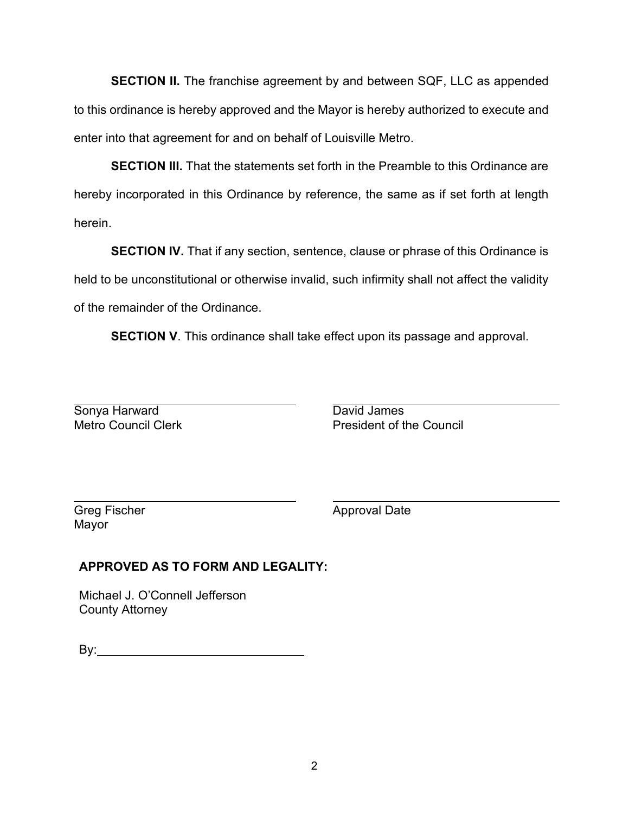**SECTION II.** The franchise agreement by and between SQF, LLC as appended to this ordinance is hereby approved and the Mayor is hereby authorized to execute and enter into that agreement for and on behalf of Louisville Metro.

**SECTION III.** That the statements set forth in the Preamble to this Ordinance are hereby incorporated in this Ordinance by reference, the same as if set forth at length herein.

**SECTION IV.** That if any section, sentence, clause or phrase of this Ordinance is held to be unconstitutional or otherwise invalid, such infirmity shall not affect the validity of the remainder of the Ordinance.

**SECTION V**. This ordinance shall take effect upon its passage and approval.

Sonya Harward David James<br>
Metro Council Clerk Detroit President of the David James

President of the Council

Greg Fischer **Approval Date** Mayor

# **APPROVED AS TO FORM AND LEGALITY:**

Michael J. O'Connell Jefferson County Attorney

By: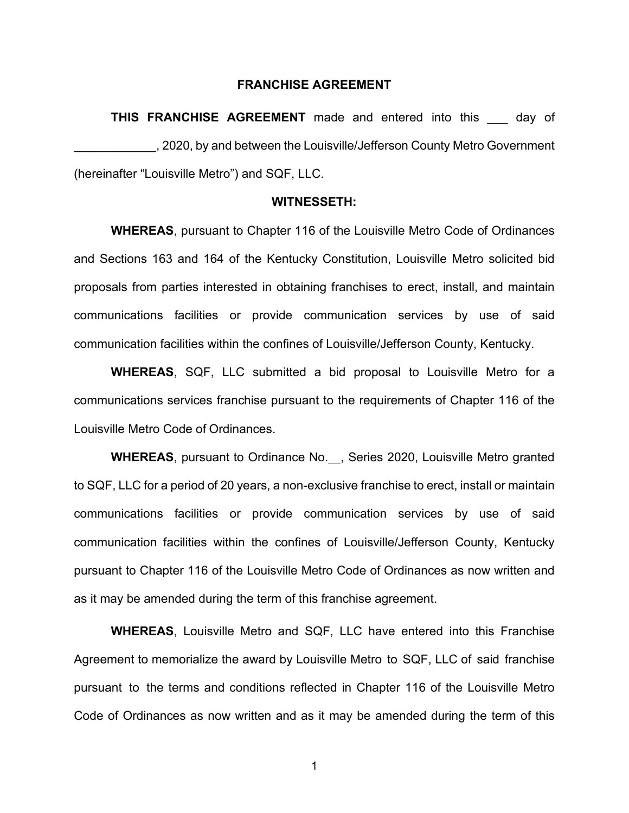## **FRANCHISE AGREEMENT**

**THIS FRANCHISE AGREEMENT** made and entered into this day of \_\_\_\_\_\_\_\_\_\_\_\_, 2020, by and between the Louisville/Jefferson County Metro Government (hereinafter "Louisville Metro") and SQF, LLC.

#### **WITNESSETH:**

**WHEREAS**, pursuant to Chapter 116 of the Louisville Metro Code of Ordinances and Sections 163 and 164 of the Kentucky Constitution, Louisville Metro solicited bid proposals from parties interested in obtaining franchises to erect, install, and maintain communications facilities or provide communication services by use of said communication facilities within the confines of Louisville/Jefferson County, Kentucky.

**WHEREAS**, SQF, LLC submitted a bid proposal to Louisville Metro for a communications services franchise pursuant to the requirements of Chapter 116 of the Louisville Metro Code of Ordinances.

**WHEREAS**, pursuant to Ordinance No. , Series 2020, Louisville Metro granted to SQF, LLC for a period of 20 years, a non-exclusive franchise to erect, install or maintain communications facilities or provide communication services by use of said communication facilities within the confines of Louisville/Jefferson County, Kentucky pursuant to Chapter 116 of the Louisville Metro Code of Ordinances as now written and as it may be amended during the term of this franchise agreement.

**WHEREAS**, Louisville Metro and SQF, LLC have entered into this Franchise Agreement to memorialize the award by Louisville Metro to SQF, LLC of said franchise pursuant to the terms and conditions reflected in Chapter 116 of the Louisville Metro Code of Ordinances as now written and as it may be amended during the term of this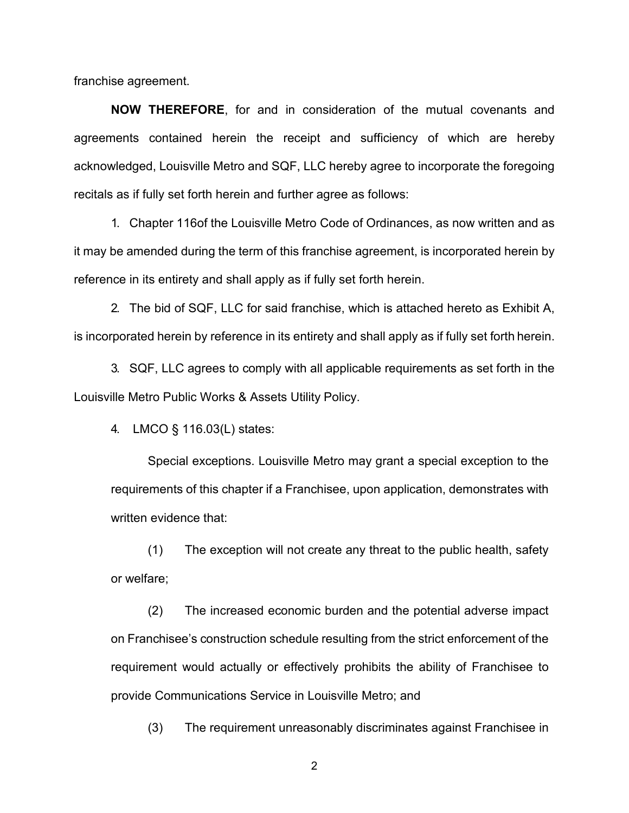franchise agreement.

**NOW THEREFORE**, for and in consideration of the mutual covenants and agreements contained herein the receipt and sufficiency of which are hereby acknowledged, Louisville Metro and SQF, LLC hereby agree to incorporate the foregoing recitals as if fully set forth herein and further agree as follows:

1. Chapter 116of the Louisville Metro Code of Ordinances, as now written and as it may be amended during the term of this franchise agreement, is incorporated herein by reference in its entirety and shall apply as if fully set forth herein.

2. The bid of SQF, LLC for said franchise, which is attached hereto as Exhibit A, is incorporated herein by reference in its entirety and shall apply as if fully set forth herein.

3. SQF, LLC agrees to comply with all applicable requirements as set forth in the Louisville Metro Public Works & Assets Utility Policy.

4. LMCO § 116.03(L) states:

Special exceptions. Louisville Metro may grant a special exception to the requirements of this chapter if a Franchisee, upon application, demonstrates with written evidence that:

(1) The exception will not create any threat to the public health, safety or welfare;

(2) The increased economic burden and the potential adverse impact on Franchisee's construction schedule resulting from the strict enforcement of the requirement would actually or effectively prohibits the ability of Franchisee to provide Communications Service in Louisville Metro; and

(3) The requirement unreasonably discriminates against Franchisee in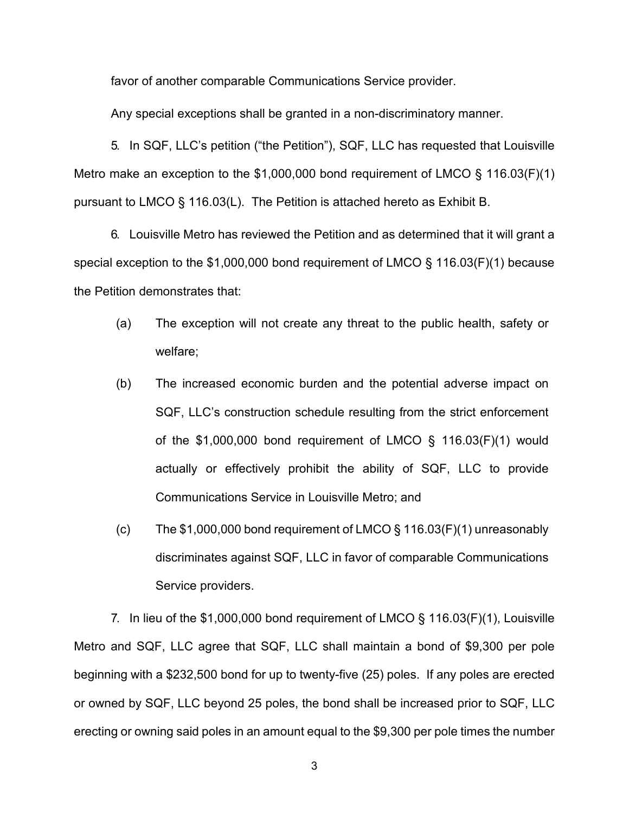favor of another comparable Communications Service provider.

Any special exceptions shall be granted in a non-discriminatory manner.

5. In SQF, LLC's petition ("the Petition"), SQF, LLC has requested that Louisville Metro make an exception to the \$1,000,000 bond requirement of LMCO § 116.03(F)(1) pursuant to LMCO § 116.03(L). The Petition is attached hereto as Exhibit B.

6. Louisville Metro has reviewed the Petition and as determined that it will grant a special exception to the \$1,000,000 bond requirement of LMCO § 116.03(F)(1) because the Petition demonstrates that:

- (a) The exception will not create any threat to the public health, safety or welfare;
- (b) The increased economic burden and the potential adverse impact on SQF, LLC's construction schedule resulting from the strict enforcement of the \$1,000,000 bond requirement of LMCO § 116.03(F)(1) would actually or effectively prohibit the ability of SQF, LLC to provide Communications Service in Louisville Metro; and
- (c) The  $$1,000,000$  bond requirement of LMCO  $\S$  116.03(F)(1) unreasonably discriminates against SQF, LLC in favor of comparable Communications Service providers.

7. In lieu of the \$1,000,000 bond requirement of LMCO § 116.03(F)(1), Louisville Metro and SQF, LLC agree that SQF, LLC shall maintain a bond of \$9,300 per pole beginning with a \$232,500 bond for up to twenty-five (25) poles. If any poles are erected or owned by SQF, LLC beyond 25 poles, the bond shall be increased prior to SQF, LLC erecting or owning said poles in an amount equal to the \$9,300 per pole times the number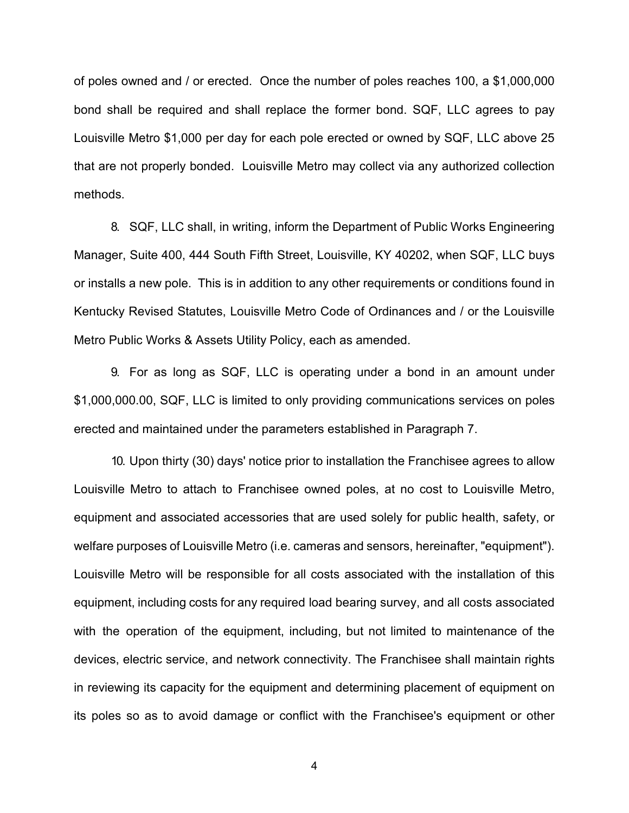of poles owned and / or erected. Once the number of poles reaches 100, a \$1,000,000 bond shall be required and shall replace the former bond. SQF, LLC agrees to pay Louisville Metro \$1,000 per day for each pole erected or owned by SQF, LLC above 25 that are not properly bonded. Louisville Metro may collect via any authorized collection methods.

8. SQF, LLC shall, in writing, inform the Department of Public Works Engineering Manager, Suite 400, 444 South Fifth Street, Louisville, KY 40202, when SQF, LLC buys or installs a new pole. This is in addition to any other requirements or conditions found in Kentucky Revised Statutes, Louisville Metro Code of Ordinances and / or the Louisville Metro Public Works & Assets Utility Policy, each as amended.

9. For as long as SQF, LLC is operating under a bond in an amount under \$1,000,000.00, SQF, LLC is limited to only providing communications services on poles erected and maintained under the parameters established in Paragraph 7.

10. Upon thirty (30) days' notice prior to installation the Franchisee agrees to allow Louisville Metro to attach to Franchisee owned poles, at no cost to Louisville Metro, equipment and associated accessories that are used solely for public health, safety, or welfare purposes of Louisville Metro (i.e. cameras and sensors, hereinafter, "equipment"). Louisville Metro will be responsible for all costs associated with the installation of this equipment, including costs for any required load bearing survey, and all costs associated with the operation of the equipment, including, but not limited to maintenance of the devices, electric service, and network connectivity. The Franchisee shall maintain rights in reviewing its capacity for the equipment and determining placement of equipment on its poles so as to avoid damage or conflict with the Franchisee's equipment or other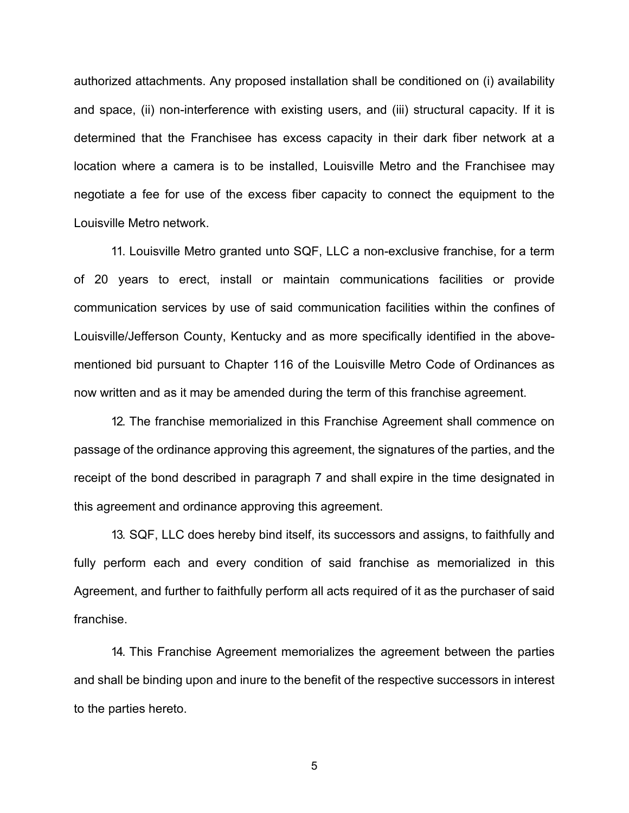authorized attachments. Any proposed installation shall be conditioned on (i) availability and space, (ii) non-interference with existing users, and (iii) structural capacity. If it is determined that the Franchisee has excess capacity in their dark fiber network at a location where a camera is to be installed, Louisville Metro and the Franchisee may negotiate a fee for use of the excess fiber capacity to connect the equipment to the Louisville Metro network.

11. Louisville Metro granted unto SQF, LLC a non-exclusive franchise, for a term of 20 years to erect, install or maintain communications facilities or provide communication services by use of said communication facilities within the confines of Louisville/Jefferson County, Kentucky and as more specifically identified in the abovementioned bid pursuant to Chapter 116 of the Louisville Metro Code of Ordinances as now written and as it may be amended during the term of this franchise agreement.

12. The franchise memorialized in this Franchise Agreement shall commence on passage of the ordinance approving this agreement, the signatures of the parties, and the receipt of the bond described in paragraph 7 and shall expire in the time designated in this agreement and ordinance approving this agreement.

13. SQF, LLC does hereby bind itself, its successors and assigns, to faithfully and fully perform each and every condition of said franchise as memorialized in this Agreement, and further to faithfully perform all acts required of it as the purchaser of said franchise.

14. This Franchise Agreement memorializes the agreement between the parties and shall be binding upon and inure to the benefit of the respective successors in interest to the parties hereto.